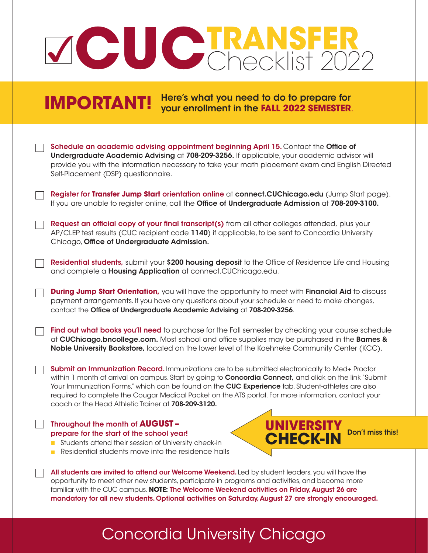## $\sqrt{}$ **CUC TRANSFER** Checklist 2022

**IMPORTANT!** Here's what you need to do to prepare for **IMPORTANT!** your enrollment in the **FALL 2022 SEMESTER**.

| Schedule an academic advising appointment beginning April 15. Contact the Office of<br>Undergraduate Academic Advising at 708-209-3256. If applicable, your academic advisor will<br>provide you with the information necessary to take your math placement exam and English Directed<br>Self-Placement (DSP) questionnaire.                                                                                                                                                   |
|--------------------------------------------------------------------------------------------------------------------------------------------------------------------------------------------------------------------------------------------------------------------------------------------------------------------------------------------------------------------------------------------------------------------------------------------------------------------------------|
| Register for Transfer Jump Start orientation online at connect. CUChicago.edu (Jump Start page).<br>If you are unable to register online, call the Office of Undergraduate Admission at 708-209-3100.                                                                                                                                                                                                                                                                          |
| Request an official copy of your final transcript(s) from all other colleges attended, plus your<br>AP/CLEP test results (CUC recipient code 1140) if applicable, to be sent to Concordia University<br>Chicago, Office of Undergraduate Admission.                                                                                                                                                                                                                            |
| Residential students, submit your \$200 housing deposit to the Office of Residence Life and Housing<br>and complete a <b>Housing Application</b> at connect.CUChicago.edu.                                                                                                                                                                                                                                                                                                     |
| <b>During Jump Start Orientation,</b> you will have the opportunity to meet with Financial Aid to discuss<br>payment arrangements. If you have any questions about your schedule or need to make changes,<br>contact the Office of Undergraduate Academic Advising at 708-209-3256.                                                                                                                                                                                            |
| Find out what books you'll need to purchase for the Fall semester by checking your course schedule<br>at CUChicago.bncollege.com. Most school and office supplies may be purchased in the Barnes &<br>Noble University Bookstore, located on the lower level of the Koehneke Community Center (KCC).                                                                                                                                                                           |
| Submit an Immunization Record. Immunizations are to be submitted electronically to Med+ Proctor<br>within 1 month of arrival on campus. Start by going to Concordia Connect, and click on the link "Submit<br>Your Immunization Forms," which can be found on the CUC Experience tab. Student-athletes are also<br>required to complete the Cougar Medical Packet on the ATS portal. For more information, contact your<br>coach or the Head Athletic Trainer at 708-209-3120. |
| Throughout the month of <b>AUGUST -</b><br>UNIVERSITY<br>Don't miss this!<br>prepare for the start of the school year!<br><b>CHECK-IN</b><br>Students attend their session of University check-in<br>Residential students move into the residence halls                                                                                                                                                                                                                        |
| All students are invited to attend our Welcome Weekend. Led by student leaders, you will have the<br>opportunity to meet other new students, participate in programs and activities, and become more<br>familiar with the CUC campus. NOTE: The Welcome Weekend activities on Friday, August 26 are<br>mandatory for all new students. Optional activities on Saturday, August 27 are strongly encouraged.                                                                     |

## Concordia University Chicago